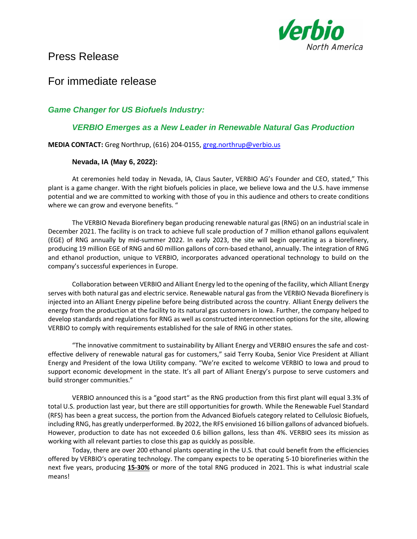

# Press Release

## For immediate release

## *Game Changer for US Biofuels Industry:*

### *VERBIO Emerges as a New Leader in Renewable Natural Gas Production*

**MEDIA CONTACT:** Greg Northrup, (616) 204-0155, [greg.northrup@verbio.us](mailto:greg.northrup@verbio.us)

### **Nevada, IA (May 6, 2022):**

At ceremonies held today in Nevada, IA, Claus Sauter, VERBIO AG's Founder and CEO, stated," This plant is a game changer. With the right biofuels policies in place, we believe Iowa and the U.S. have immense potential and we are committed to working with those of you in this audience and others to create conditions where we can grow and everyone benefits. "

The VERBIO Nevada Biorefinery began producing renewable natural gas (RNG) on an industrial scale in December 2021. The facility is on track to achieve full scale production of 7 million ethanol gallons equivalent (EGE) of RNG annually by mid-summer 2022. In early 2023, the site will begin operating as a biorefinery, producing 19 million EGE of RNG and 60 million gallons of corn-based ethanol, annually. The integration of RNG and ethanol production, unique to VERBIO, incorporates advanced operational technology to build on the company's successful experiences in Europe.

Collaboration between VERBIO and Alliant Energy led to the opening of the facility, which Alliant Energy serves with both natural gas and electric service. Renewable natural gas from the VERBIO Nevada Biorefinery is injected into an Alliant Energy pipeline before being distributed across the country. Alliant Energy delivers the energy from the production at the facility to its natural gas customers in Iowa. Further, the company helped to develop standards and regulations for RNG as well as constructed interconnection options for the site, allowing VERBIO to comply with requirements established for the sale of RNG in other states.

"The innovative commitment to sustainability by Alliant Energy and VERBIO ensures the safe and costeffective delivery of renewable natural gas for customers," said Terry Kouba, Senior Vice President at Alliant Energy and President of the Iowa Utility company. "We're excited to welcome VERBIO to Iowa and proud to support economic development in the state. It's all part of Alliant Energy's purpose to serve customers and build stronger communities."

VERBIO announced this is a "good start" as the RNG production from this first plant will equal 3.3% of total U.S. production last year, but there are still opportunities for growth. While the Renewable Fuel Standard (RFS) has been a great success, the portion from the Advanced Biofuels category related to Cellulosic Biofuels, including RNG, has greatly underperformed. By 2022, the RFS envisioned 16 billion gallons of advanced biofuels. However, production to date has not exceeded 0.6 billion gallons, less than 4%. VERBIO sees its mission as working with all relevant parties to close this gap as quickly as possible.

Today, there are over 200 ethanol plants operating in the U.S. that could benefit from the efficiencies offered by VERBIO's operating technology. The company expects to be operating 5-10 biorefineries within the next five years, producing **15-30%** or more of the total RNG produced in 2021. This is what industrial scale means!